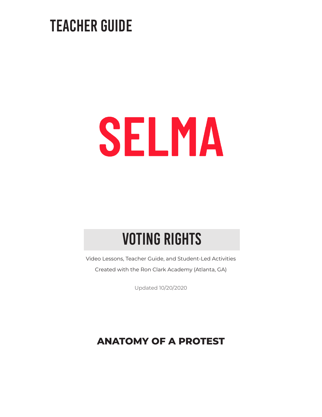### TEACHER GUIDE

# SELMA

### VOTING RIGHTS

Video Lessons, Teacher Guide, and Student-Led Activities Created with the Ron Clark Academy (Atlanta, GA)

Updated 10/20/2020

### **ANATOMY OF A PROTEST**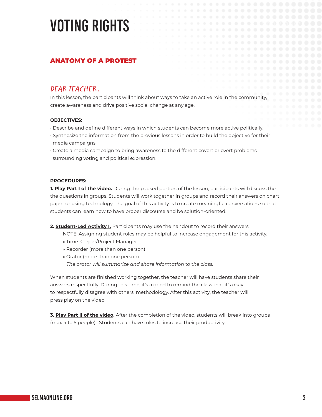### VOTING RIGHTS

#### ANATOMY OF A PROTEST

**DEAR TEACHER**,<br>In this lesson, the participants will think about ways to take an active role in the community, create awareness and drive positive social change at any age.

#### **OBJECTIVES:**

- Describe and define different ways in which students can become more active politically.
- Synthesize the information from the previous lessons in order to build the objective for their media campaigns.
- Create a media campaign to bring awareness to the different covert or overt problems surrounding voting and political expression.

#### **PROCEDURES:**

**1. Play Part I of the video.** During the paused portion of the lesson, participants will discuss the the questions in groups. Students will work together in groups and record their answers on chart paper or using technology. The goal of this activity is to create meaningful conversations so that students can learn how to have proper discourse and be solution-oriented.

#### **2. Student-Led Activity I.** Participants may use the handout to record their answers.

- NOTE: Assigning student roles may be helpful to increase engagement for this activity.
- » Time Keeper/Project Manager
- » Recorder (more than one person)
- » Orator (more than one person)

*The orator will summarize and share information to the class.*

When students are finished working together, the teacher will have students share their answers respectfully. During this time, it's a good to remind the class that it's okay to respectfully disagree with others' methodology. After this activity, the teacher will press play on the video.

**3. Play Part II of the video.** After the completion of the video, students will break into groups (max 4 to 5 people). Students can have roles to increase their productivity.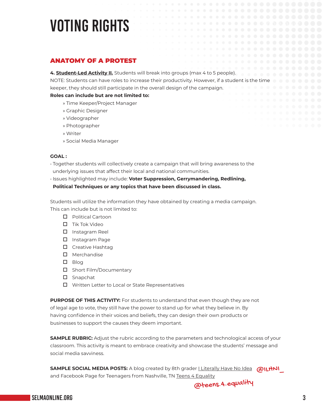### VOTING RIGHTS

#### ANATOMY OF A PROTEST

**4. Student-Led Activity II.** Students will break into groups (max 4 to 5 people).

NOTE: Students can have roles to increase their productivity. However, if a student is the time keeper, they should still participate in the overall design of the campaign.

#### **Roles can include but are not limited to:**

- » Time Keeper/Project Manager
- » Graphic Designer
- » Videographer
- » Photographer
- » Writer
- » Social Media Manager

#### **GOAL :**

- Together students will collectively create a campaign that will bring awareness to the underlying issues that affect their local and national communities.
- Issues highlighted may include: **Voter Suppression, Gerrymandering, Redlining,**

#### **Political Techniques or any topics that have been discussed in class.**

Students will utilize the information they have obtained by creating a media campaign. This can include but is not limited to:

- D Political Cartoon
- $\Box$  Tik Tok Video
- $\square$  Instagram Reel
- **D** Instagram Page
- $\square$  Creative Hashtag
- $\square$  Merchandise
- $\square$  Blog
- $\square$  Short Film/Documentary
- $\square$  Snapchat
- $\Box$  Written Letter to Local or State Representatives

**PURPOSE OF THIS ACTIVITY:** For students to understand that even though they are not of legal age to vote, they still have the power to stand up for what they believe in. By having confidence in their voices and beliefs, they can design their own products or businesses to support the causes they deem important.

**SAMPLE RUBRIC:** Adjust the rubric according to the parameters and technological access of your classroom. This activity is meant to embrace creativity and showcase the students' message and social media savviness.

SAMPLE SOCIAL MEDIA POSTS: A blog created by 8th grader <u>I Literally Have No Idea</u> @IL<del>H</del>NI\_ and Facebook Page for Teenagers from Nashville, TN [Teens 4 Equality](https://www.facebook.com/teens4equality/)

@teens.[4.equality](https://www.instagram.com/teens.4.equality/)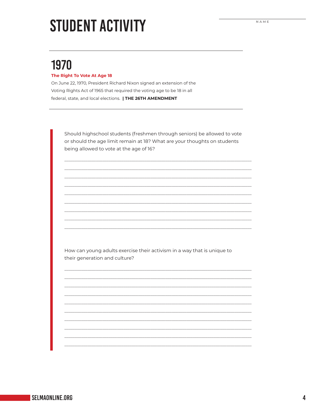# **STUDENT ACTIVITY**

### 1970

#### The Right To Vote At Age 18

On June 22, 1970, President Richard Nixon signed an extension of the Voting Rights Act of 1965 that required the voting age to be 18 in all federal, state, and local elections. | THE 26TH AMENDMENT

Should highschool students (freshmen through seniors) be allowed to vote or should the age limit remain at 18? What are your thoughts on students being allowed to vote at the age of 16?

How can young adults exercise their activism in a way that is unique to their generation and culture?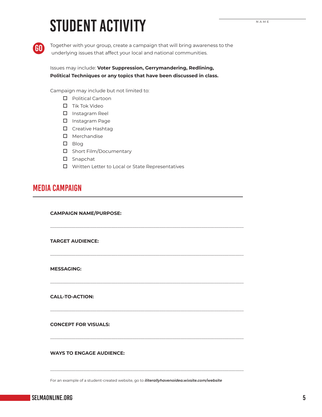# STUDENT ACTIVITY



Together with your group, create a campaign that will bring awareness to the underlying issues that affect your local and national communities.

Issues may include: **Voter Suppression, Gerrymandering, Redlining, Political Techniques or any topics that have been discussed in class.**

Campaign may include but not limited to:

- D Political Cartoon
- $\Box$  Tik Tok Video
- $\square$  Instagram Reel
- □ Instagram Page
- $\square$  Creative Hashtag
- $\square$  Merchandise
- $\square$  Blog
- $\square$  Short Film/Documentary
- $\square$  Snapchat
- $\Box$  Written Letter to Local or State Representatives

\_\_\_\_\_\_\_\_\_\_\_\_\_\_\_\_\_\_\_\_\_\_\_\_\_\_\_\_\_\_\_\_\_\_\_\_\_\_\_\_\_\_\_\_\_\_\_\_\_\_\_\_\_\_\_\_\_\_\_\_\_\_\_\_\_\_\_\_\_\_\_\_\_\_\_\_\_\_\_\_\_\_\_\_\_\_\_\_\_\_\_\_

\_\_\_\_\_\_\_\_\_\_\_\_\_\_\_\_\_\_\_\_\_\_\_\_\_\_\_\_\_\_\_\_\_\_\_\_\_\_\_\_\_\_\_\_\_\_\_\_\_\_\_\_\_\_\_\_\_\_\_\_\_\_\_\_\_\_\_\_\_\_\_\_\_\_\_\_\_\_\_\_\_\_\_\_\_\_\_\_\_\_\_\_

\_\_\_\_\_\_\_\_\_\_\_\_\_\_\_\_\_\_\_\_\_\_\_\_\_\_\_\_\_\_\_\_\_\_\_\_\_\_\_\_\_\_\_\_\_\_\_\_\_\_\_\_\_\_\_\_\_\_\_\_\_\_\_\_\_\_\_\_\_\_\_\_\_\_\_\_\_\_\_\_\_\_\_\_\_\_\_\_\_\_\_\_

\_\_\_\_\_\_\_\_\_\_\_\_\_\_\_\_\_\_\_\_\_\_\_\_\_\_\_\_\_\_\_\_\_\_\_\_\_\_\_\_\_\_\_\_\_\_\_\_\_\_\_\_\_\_\_\_\_\_\_\_\_\_\_\_\_\_\_\_\_\_\_\_\_\_\_\_\_\_\_\_\_\_\_\_\_\_\_\_\_\_\_\_

\_\_\_\_\_\_\_\_\_\_\_\_\_\_\_\_\_\_\_\_\_\_\_\_\_\_\_\_\_\_\_\_\_\_\_\_\_\_\_\_\_\_\_\_\_\_\_\_\_\_\_\_\_\_\_\_\_\_\_\_\_\_\_\_\_\_\_\_\_\_\_\_\_\_\_\_\_\_\_\_\_\_\_\_\_\_\_\_\_\_\_\_

\_\_\_\_\_\_\_\_\_\_\_\_\_\_\_\_\_\_\_\_\_\_\_\_\_\_\_\_\_\_\_\_\_\_\_\_\_\_\_\_\_\_\_\_\_\_\_\_\_\_\_\_\_\_\_\_\_\_\_\_\_\_\_\_\_\_\_\_\_\_\_\_\_\_\_\_\_\_\_\_\_\_\_\_\_\_\_\_\_\_\_\_

#### MEDIA CAMPAIGN

**CAMPAIGN NAME/PURPOSE:** 

**TARGET AUDIENCE:** 

**MESSAGING:**

**CALL-TO-ACTION:** 

**CONCEPT FOR VISUALS:** 

**WAYS TO ENGAGE AUDIENCE:** 

For an example of a student-created website, go to *[iliterallyhavenoidea.wixsite.com/website](http://iliterallyhavenoidea.wixsite.com/website)*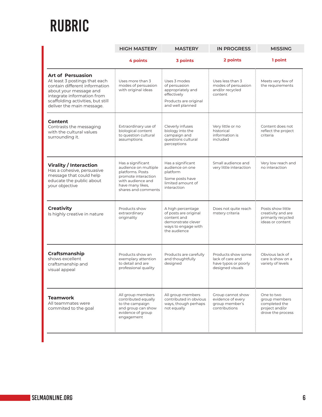### RUBRIC

|                                                                                                                                                                                                                      | <b>HIGH MASTERY</b>                                                                                                                                  | <b>MASTERY</b>                                                                                                         | <b>IN PROGRESS</b>                                                                 | <b>MISSING</b>                                                                      |
|----------------------------------------------------------------------------------------------------------------------------------------------------------------------------------------------------------------------|------------------------------------------------------------------------------------------------------------------------------------------------------|------------------------------------------------------------------------------------------------------------------------|------------------------------------------------------------------------------------|-------------------------------------------------------------------------------------|
|                                                                                                                                                                                                                      | 4 points                                                                                                                                             | 3 points                                                                                                               | 2 points                                                                           | 1 point                                                                             |
| <b>Art of Persuasion</b><br>At least 3 postings that each<br>contain different information<br>about your message and<br>integrate information from<br>scaffolding activities, but still<br>deliver the main message. | Uses more than 3<br>modes of persuasion<br>with original ideas                                                                                       | Uses 3 modes<br>of persuasion<br>appropriately and<br>effectively<br>Products are original<br>and well planned         | Uses less than 3<br>modes of persuasion<br>and/or recycled<br>content              | Meets very few of<br>the requirements                                               |
| <b>Content</b><br>Contrasts the messaging<br>with the cultural values<br>surrounding it.                                                                                                                             | Extraordinary use of<br>biological content<br>to question cultural<br>assumptions                                                                    | Cleverly infuses<br>biology into the<br>campaign and<br>questions cultural<br>perceptions                              | Very little or no<br>historical<br>information is<br>included                      | Content does not<br>reflect the project<br>criteria                                 |
| <b>Virality / Interaction</b><br>Has a cohesive, persuasive<br>message that could help<br>educate the public about<br>your objective                                                                                 | Has a significant<br>audience on multiple<br>platforms. Posts<br>promote interaction<br>with audience and<br>have many likes,<br>shares and comments | Has a significant<br>audience on one<br>platform<br>Some posts have<br>limited amount of<br>interaction                | Small audience and<br>very little interaction                                      | Very low reach and<br>no interaction                                                |
| <b>Creativity</b><br>Is highly creative in nature                                                                                                                                                                    | Products show<br>extraordinary<br>originality                                                                                                        | A high percentage<br>of posts are original<br>content and<br>demonstrate clever<br>ways to engage with<br>the audience | Does not quite reach<br>mstery criteria                                            | Posts show little<br>creativity and are<br>primarily recycled<br>ideas or content   |
| Craftsmanship<br>shows excellent<br>craftsmanship and<br>visual appeal                                                                                                                                               | Products show an<br>exemplary attention<br>to detail and are<br>professional quality                                                                 | Products are carefully<br>and thoughtfully<br>designed                                                                 | Products show some<br>lack of care and<br>have typos or poorly<br>designed visuals | Obvious lack of<br>care is show on a<br>variety of levels                           |
| <b>Teamwork</b><br>All teammates were<br>commited to the goal                                                                                                                                                        | All group members<br>contributed equally<br>to the campaign<br>and group can show<br>evidence of group<br>engagement                                 | All group members<br>contributed in obvious<br>ways, though perhaps<br>not equally                                     | Group cannot show<br>evidence of every<br>group member's<br>contributions          | One to two<br>group members<br>completed the<br>project and/or<br>drove the process |